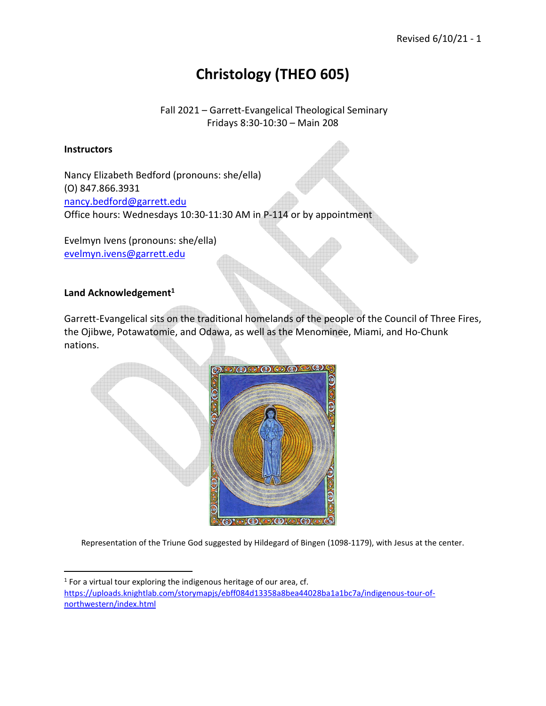# **Christology (THEO 605)**

Fall 2021 – Garrett-Evangelical Theological Seminary Fridays 8:30-10:30 – Main 208

#### **Instructors**

Nancy Elizabeth Bedford (pronouns: she/ella) (O) 847.866.3931 nancy.bedford@garrett.edu Office hours: Wednesdays 10:30-11:30 AM in P-114 or by appointment

Evelmyn Ivens (pronouns: she/ella) evelmyn.ivens@garrett.edu

#### **Land Acknowledgement<sup>1</sup>**

Garrett-Evangelical sits on the traditional homelands of the people of the Council of Three Fires, the Ojibwe, Potawatomie, and Odawa, as well as the Menominee, Miami, and Ho-Chunk nations.



Representation of the Triune God suggested by Hildegard of Bingen (1098-1179), with Jesus at the center.

 $1$  For a virtual tour exploring the indigenous heritage of our area, cf. https://uploads.knightlab.com/storymapjs/ebff084d13358a8bea44028ba1a1bc7a/indigenous-tour-ofnorthwestern/index.html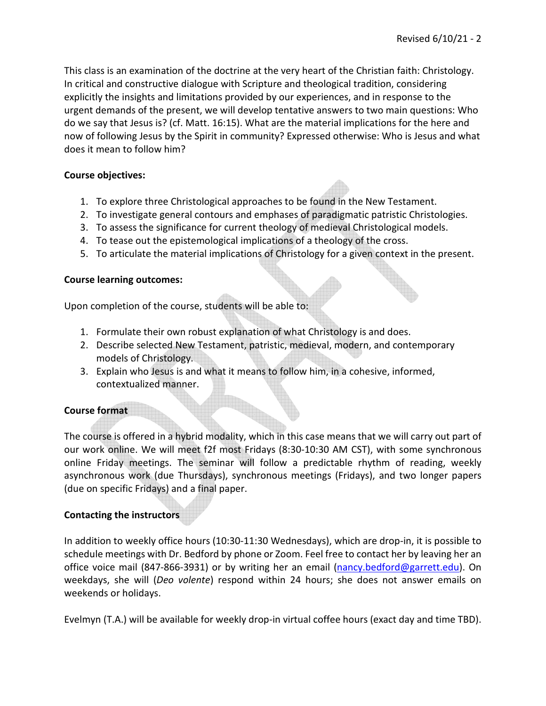This class is an examination of the doctrine at the very heart of the Christian faith: Christology. In critical and constructive dialogue with Scripture and theological tradition, considering explicitly the insights and limitations provided by our experiences, and in response to the urgent demands of the present, we will develop tentative answers to two main questions: Who do we say that Jesus is? (cf. Matt. 16:15). What are the material implications for the here and now of following Jesus by the Spirit in community? Expressed otherwise: Who is Jesus and what does it mean to follow him?

## **Course objectives:**

- 1. To explore three Christological approaches to be found in the New Testament.
- 2. To investigate general contours and emphases of paradigmatic patristic Christologies.
- 3. To assess the significance for current theology of medieval Christological models.
- 4. To tease out the epistemological implications of a theology of the cross.
- 5. To articulate the material implications of Christology for a given context in the present.

## **Course learning outcomes:**

Upon completion of the course, students will be able to:

- 1. Formulate their own robust explanation of what Christology is and does.
- 2. Describe selected New Testament, patristic, medieval, modern, and contemporary models of Christology.
- 3. Explain who Jesus is and what it means to follow him, in a cohesive, informed, contextualized manner.

## **Course format**

The course is offered in a hybrid modality, which in this case means that we will carry out part of our work online. We will meet f2f most Fridays (8:30-10:30 AM CST), with some synchronous online Friday meetings. The seminar will follow a predictable rhythm of reading, weekly asynchronous work (due Thursdays), synchronous meetings (Fridays), and two longer papers (due on specific Fridays) and a final paper.

## **Contacting the instructors**

In addition to weekly office hours (10:30-11:30 Wednesdays), which are drop-in, it is possible to schedule meetings with Dr. Bedford by phone or Zoom. Feel free to contact her by leaving her an office voice mail (847-866-3931) or by writing her an email (nancy.bedford@garrett.edu). On weekdays, she will (*Deo volente*) respond within 24 hours; she does not answer emails on weekends or holidays.

Evelmyn (T.A.) will be available for weekly drop-in virtual coffee hours (exact day and time TBD).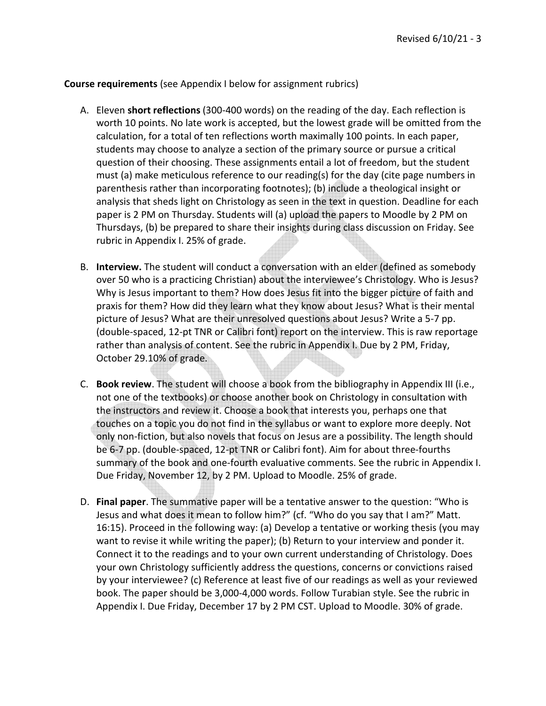**Course requirements** (see Appendix I below for assignment rubrics)

- A. Eleven **short reflections** (300-400 words) on the reading of the day. Each reflection is worth 10 points. No late work is accepted, but the lowest grade will be omitted from the calculation, for a total of ten reflections worth maximally 100 points. In each paper, students may choose to analyze a section of the primary source or pursue a critical question of their choosing. These assignments entail a lot of freedom, but the student must (a) make meticulous reference to our reading(s) for the day (cite page numbers in parenthesis rather than incorporating footnotes); (b) include a theological insight or analysis that sheds light on Christology as seen in the text in question. Deadline for each paper is 2 PM on Thursday. Students will (a) upload the papers to Moodle by 2 PM on Thursdays, (b) be prepared to share their insights during class discussion on Friday. See rubric in Appendix I. 25% of grade.
- B. **Interview.** The student will conduct a conversation with an elder (defined as somebody over 50 who is a practicing Christian) about the interviewee's Christology. Who is Jesus? Why is Jesus important to them? How does Jesus fit into the bigger picture of faith and praxis for them? How did they learn what they know about Jesus? What is their mental picture of Jesus? What are their unresolved questions about Jesus? Write a 5-7 pp. (double-spaced, 12-pt TNR or Calibri font) report on the interview. This is raw reportage rather than analysis of content. See the rubric in Appendix I. Due by 2 PM, Friday, October 29.10% of grade.
- C. **Book review**. The student will choose a book from the bibliography in Appendix III (i.e., not one of the textbooks) or choose another book on Christology in consultation with the instructors and review it. Choose a book that interests you, perhaps one that touches on a topic you do not find in the syllabus or want to explore more deeply. Not only non-fiction, but also novels that focus on Jesus are a possibility. The length should be 6-7 pp. (double-spaced, 12-pt TNR or Calibri font). Aim for about three-fourths summary of the book and one-fourth evaluative comments. See the rubric in Appendix I. Due Friday, November 12, by 2 PM. Upload to Moodle. 25% of grade.
- D. **Final paper**. The summative paper will be a tentative answer to the question: "Who is Jesus and what does it mean to follow him?" (cf. "Who do you say that I am?" Matt. 16:15). Proceed in the following way: (a) Develop a tentative or working thesis (you may want to revise it while writing the paper); (b) Return to your interview and ponder it. Connect it to the readings and to your own current understanding of Christology. Does your own Christology sufficiently address the questions, concerns or convictions raised by your interviewee? (c) Reference at least five of our readings as well as your reviewed book. The paper should be 3,000-4,000 words. Follow Turabian style. See the rubric in Appendix I. Due Friday, December 17 by 2 PM CST. Upload to Moodle. 30% of grade.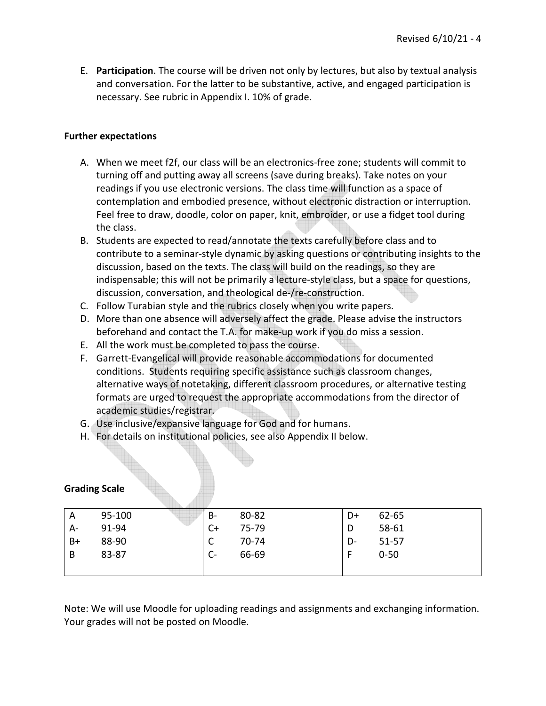E. **Participation**. The course will be driven not only by lectures, but also by textual analysis and conversation. For the latter to be substantive, active, and engaged participation is necessary. See rubric in Appendix I. 10% of grade.

## **Further expectations**

- A. When we meet f2f, our class will be an electronics-free zone; students will commit to turning off and putting away all screens (save during breaks). Take notes on your readings if you use electronic versions. The class time will function as a space of contemplation and embodied presence, without electronic distraction or interruption. Feel free to draw, doodle, color on paper, knit, embroider, or use a fidget tool during the class.
- B. Students are expected to read/annotate the texts carefully before class and to contribute to a seminar-style dynamic by asking questions or contributing insights to the discussion, based on the texts. The class will build on the readings, so they are indispensable; this will not be primarily a lecture-style class, but a space for questions, discussion, conversation, and theological de-/re-construction.
- C. Follow Turabian style and the rubrics closely when you write papers.
- D. More than one absence will adversely affect the grade. Please advise the instructors beforehand and contact the T.A. for make-up work if you do miss a session.
- E. All the work must be completed to pass the course.
- F. Garrett-Evangelical will provide reasonable accommodations for documented conditions. Students requiring specific assistance such as classroom changes, alternative ways of notetaking, different classroom procedures, or alternative testing formats are urged to request the appropriate accommodations from the director of academic studies/registrar.
- G. Use inclusive/expansive language for God and for humans.
- H. For details on institutional policies, see also Appendix II below.

| A    | 95-100 | B-   | 80-82 | D+ | 62-65    |  |
|------|--------|------|-------|----|----------|--|
| A-   | 91-94  | C+   | 75-79 | D  | 58-61    |  |
| $B+$ | 88-90  | C    | 70-74 | D- | 51-57    |  |
| B    | 83-87  | $C-$ | 66-69 |    | $0 - 50$ |  |
|      |        |      |       |    |          |  |

## **Grading Scale**

Note: We will use Moodle for uploading readings and assignments and exchanging information. Your grades will not be posted on Moodle.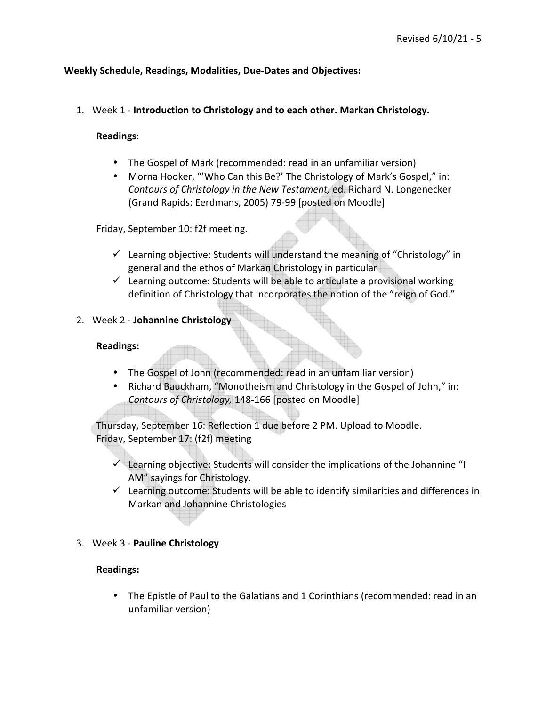## **Weekly Schedule, Readings, Modalities, Due-Dates and Objectives:**

#### 1. Week 1 - **Introduction to Christology and to each other. Markan Christology.**

#### **Readings**:

- The Gospel of Mark (recommended: read in an unfamiliar version)
- Morna Hooker, "'Who Can this Be?' The Christology of Mark's Gospel," in: *Contours of Christology in the New Testament,* ed. Richard N. Longenecker (Grand Rapids: Eerdmans, 2005) 79-99 [posted on Moodle]

Friday, September 10: f2f meeting.

- $\checkmark$  Learning objective: Students will understand the meaning of "Christology" in general and the ethos of Markan Christology in particular
- $\checkmark$  Learning outcome: Students will be able to articulate a provisional working definition of Christology that incorporates the notion of the "reign of God."
- 2. Week 2 **Johannine Christology**

#### **Readings:**

- The Gospel of John (recommended: read in an unfamiliar version)
- Richard Bauckham, "Monotheism and Christology in the Gospel of John," in: *Contours of Christology,* 148-166 [posted on Moodle]

Thursday, September 16: Reflection 1 due before 2 PM. Upload to Moodle. Friday, September 17: (f2f) meeting

- $\checkmark$  Learning objective: Students will consider the implications of the Johannine "I AM" sayings for Christology.
- $\checkmark$  Learning outcome: Students will be able to identify similarities and differences in Markan and Johannine Christologies
- 3. Week 3 **Pauline Christology**

#### **Readings:**

• The Epistle of Paul to the Galatians and 1 Corinthians (recommended: read in an unfamiliar version)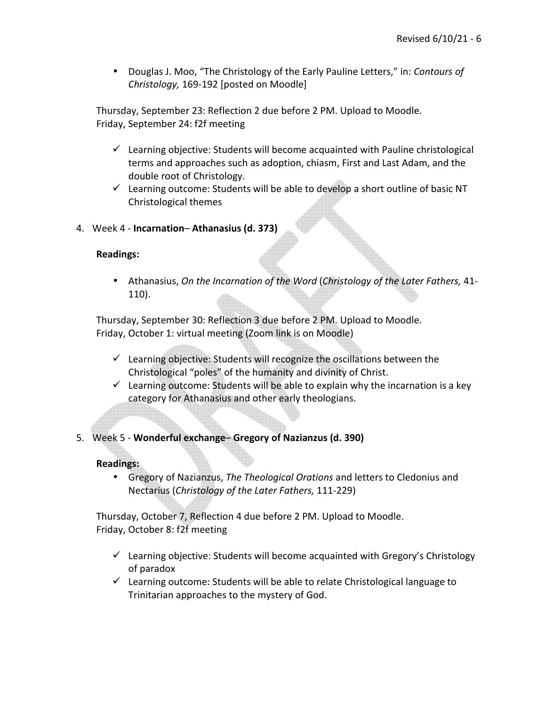• Douglas J. Moo, "The Christology of the Early Pauline Letters," in: *Contours of Christology,* 169-192 [posted on Moodle]

Thursday, September 23: Reflection 2 due before 2 PM. Upload to Moodle. Friday, September 24: f2f meeting

- $\checkmark$  Learning objective: Students will become acquainted with Pauline christological terms and approaches such as adoption, chiasm, First and Last Adam, and the double root of Christology.
- $\checkmark$  Learning outcome: Students will be able to develop a short outline of basic NT Christological themes
- 4. Week 4 **Incarnation Athanasius (d. 373)**

#### **Readings:**

• Athanasius, *On the Incarnation of the Word* (*Christology of the Later Fathers,* 41- 110).

Thursday, September 30: Reflection 3 due before 2 PM. Upload to Moodle. Friday, October 1: virtual meeting (Zoom link is on Moodle)

- $\checkmark$  Learning objective: Students will recognize the oscillations between the Christological "poles" of the humanity and divinity of Christ.
- $\checkmark$  Learning outcome: Students will be able to explain why the incarnation is a key category for Athanasius and other early theologians.
- 5. Week 5 **Wonderful exchange Gregory of Nazianzus (d. 390)**

## **Readings:**

• Gregory of Nazianzus, *The Theological Orations* and letters to Cledonius and Nectarius (*Christology of the Later Fathers,* 111-229)

Thursday, October 7, Reflection 4 due before 2 PM. Upload to Moodle. Friday, October 8: f2f meeting

- $\checkmark$  Learning objective: Students will become acquainted with Gregory's Christology of paradox
- $\checkmark$  Learning outcome: Students will be able to relate Christological language to Trinitarian approaches to the mystery of God.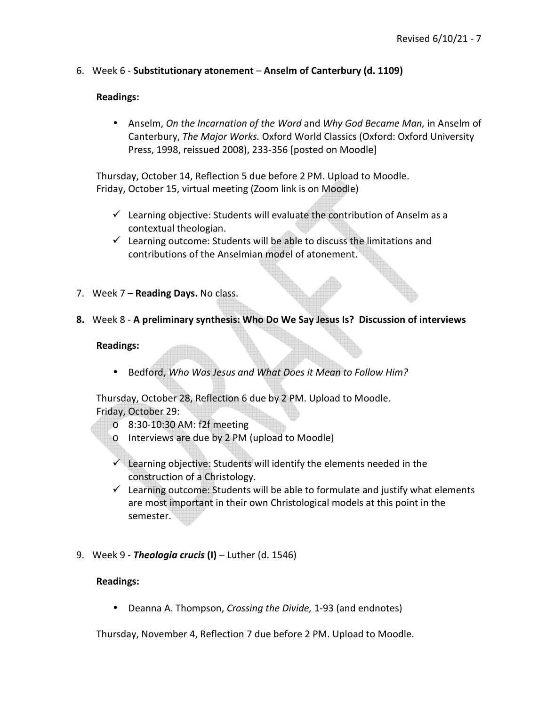6. Week 6 - **Substitutionary atonement** – **Anselm of Canterbury (d. 1109)**

## **Readings:**

• Anselm, *On the Incarnation of the Word* and *Why God Became Man,* in Anselm of Canterbury, *The Major Works.* Oxford World Classics (Oxford: Oxford University Press, 1998, reissued 2008), 233-356 [posted on Moodle]

Thursday, October 14, Reflection 5 due before 2 PM. Upload to Moodle. Friday, October 15, virtual meeting (Zoom link is on Moodle)

- $\checkmark$  Learning objective: Students will evaluate the contribution of Anselm as a contextual theologian.
- $\checkmark$  Learning outcome: Students will be able to discuss the limitations and contributions of the Anselmian model of atonement.
- 7. Week 7 **Reading Days.** No class.
- **8.** Week 8 **A preliminary synthesis: Who Do We Say Jesus Is? Discussion of interviews**

#### **Readings:**

• Bedford, *Who Was Jesus and What Does it Mean to Follow Him?*

Thursday, October 28, Reflection 6 due by 2 PM. Upload to Moodle. Friday, October 29:

- o 8:30-10:30 AM: f2f meeting
- o Interviews are due by 2 PM (upload to Moodle)
- $\checkmark$  Learning objective: Students will identify the elements needed in the construction of a Christology.
- $\checkmark$  Learning outcome: Students will be able to formulate and justify what elements are most important in their own Christological models at this point in the semester.
- 9. Week 9 *Theologia crucis* **(I)**  Luther (d. 1546)

#### **Readings:**

• Deanna A. Thompson, *Crossing the Divide,* 1-93 (and endnotes)

Thursday, November 4, Reflection 7 due before 2 PM. Upload to Moodle.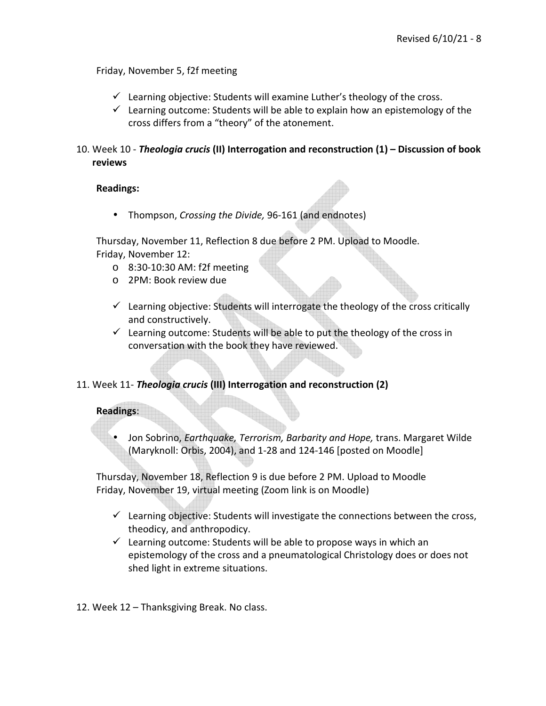Friday, November 5, f2f meeting

- $\checkmark$  Learning objective: Students will examine Luther's theology of the cross.
- $\checkmark$  Learning outcome: Students will be able to explain how an epistemology of the cross differs from a "theory" of the atonement.

10. Week 10 - *Theologia crucis* **(II) Interrogation and reconstruction (1) – Discussion of book reviews**

## **Readings:**

• Thompson, *Crossing the Divide,* 96-161 (and endnotes)

Thursday, November 11, Reflection 8 due before 2 PM. Upload to Moodle. Friday, November 12:

- o 8:30-10:30 AM: f2f meeting
- o 2PM: Book review due
- $\checkmark$  Learning objective: Students will interrogate the theology of the cross critically and constructively.
- $\checkmark$  Learning outcome: Students will be able to put the theology of the cross in conversation with the book they have reviewed.

## 11. Week 11- *Theologia crucis* **(III) Interrogation and reconstruction (2)**

## **Readings**:

• Jon Sobrino, *Earthquake, Terrorism, Barbarity and Hope,* trans. Margaret Wilde (Maryknoll: Orbis, 2004), and 1-28 and 124-146 [posted on Moodle]

Thursday, November 18, Reflection 9 is due before 2 PM. Upload to Moodle Friday, November 19, virtual meeting (Zoom link is on Moodle)

- $\checkmark$  Learning objective: Students will investigate the connections between the cross, theodicy, and anthropodicy.
- $\checkmark$  Learning outcome: Students will be able to propose ways in which an epistemology of the cross and a pneumatological Christology does or does not shed light in extreme situations.
- 12. Week 12 Thanksgiving Break. No class.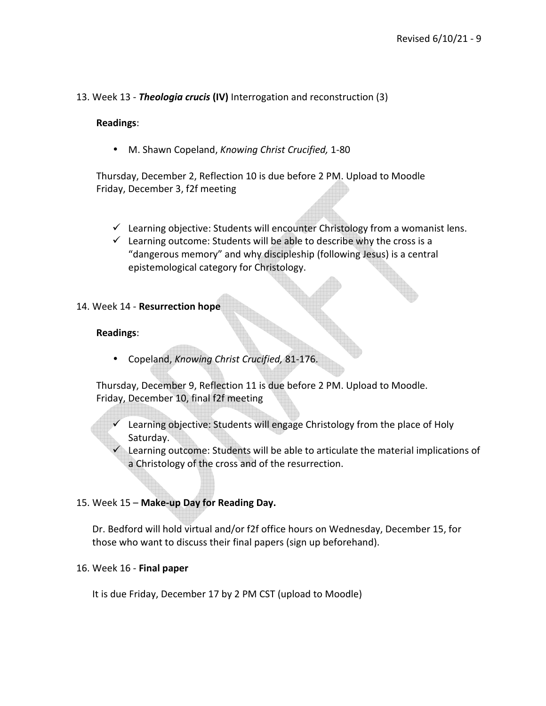#### 13. Week 13 - *Theologia crucis* **(IV)** Interrogation and reconstruction (3)

#### **Readings**:

• M. Shawn Copeland, *Knowing Christ Crucified,* 1-80

Thursday, December 2, Reflection 10 is due before 2 PM. Upload to Moodle Friday, December 3, f2f meeting

- $\checkmark$  Learning objective: Students will encounter Christology from a womanist lens.
- $\checkmark$  Learning outcome: Students will be able to describe why the cross is a "dangerous memory" and why discipleship (following Jesus) is a central epistemological category for Christology.

#### 14. Week 14 - **Resurrection hope**

#### **Readings**:

• Copeland, *Knowing Christ Crucified,* 81-176.

Thursday, December 9, Reflection 11 is due before 2 PM. Upload to Moodle. Friday, December 10, final f2f meeting

- $\checkmark$  Learning objective: Students will engage Christology from the place of Holy Saturday.
	- Learning outcome: Students will be able to articulate the material implications of a Christology of the cross and of the resurrection.

#### 15. Week 15 – **Make-up Day for Reading Day.**

Dr. Bedford will hold virtual and/or f2f office hours on Wednesday, December 15, for those who want to discuss their final papers (sign up beforehand).

#### 16. Week 16 - **Final paper**

It is due Friday, December 17 by 2 PM CST (upload to Moodle)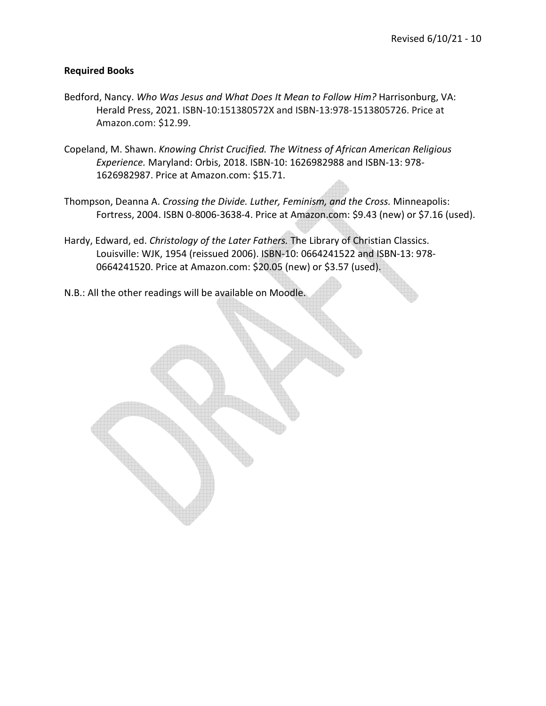#### **Required Books**

- Bedford, Nancy. *Who Was Jesus and What Does It Mean to Follow Him?* Harrisonburg, VA: Herald Press, 2021. ISBN-10:151380572X and ISBN-13:978-1513805726. Price at Amazon.com: \$12.99.
- Copeland, M. Shawn. *Knowing Christ Crucified. The Witness of African American Religious Experience.* Maryland: Orbis, 2018. ISBN-10: 1626982988 and ISBN-13: 978- 1626982987. Price at Amazon.com: \$15.71.
- Thompson, Deanna A. *Crossing the Divide. Luther, Feminism, and the Cross.* Minneapolis: Fortress, 2004. ISBN 0-8006-3638-4. Price at Amazon.com: \$9.43 (new) or \$7.16 (used).
- Hardy, Edward, ed. *Christology of the Later Fathers.* The Library of Christian Classics. Louisville: WJK, 1954 (reissued 2006). ISBN-10: 0664241522 and ISBN-13: 978- 0664241520. Price at Amazon.com: \$20.05 (new) or \$3.57 (used).
- N.B.: All the other readings will be available on Moodle.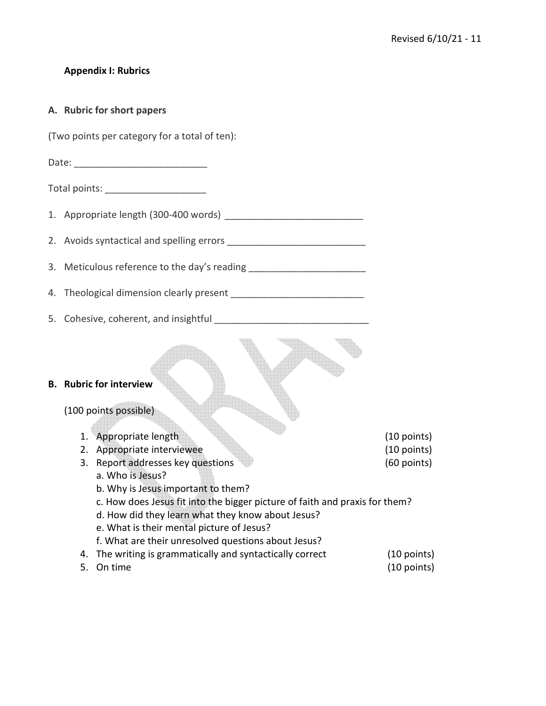## **Appendix I: Rubrics**

#### **A. Rubric for short papers**

(Two points per category for a total of ten):

Date:  $\Box$ 

Total points: \_\_\_\_\_\_\_\_\_\_\_\_\_\_\_\_\_\_\_

1. Appropriate length (300-400 words) \_\_\_\_\_\_\_\_\_\_\_\_\_\_\_\_\_\_\_\_\_\_\_\_\_\_

2. Avoids syntactical and spelling errors \_\_\_\_\_\_\_\_\_\_\_\_\_\_\_\_\_\_\_\_\_\_\_\_\_\_

3. Meticulous reference to the day's reading \_\_\_\_\_\_\_\_\_\_\_\_\_\_\_\_\_\_\_\_\_\_\_\_\_\_\_\_\_\_\_\_\_\_\_

4. Theological dimension clearly present \_\_\_\_\_\_\_\_\_\_\_\_\_\_\_\_\_\_\_\_\_\_\_\_\_

5. Cohesive, coherent, and insightful

#### **B. Rubric for interview**

## (100 points possible)

| 1. Appropriate length                                                       | $(10$ points) |  |  |  |
|-----------------------------------------------------------------------------|---------------|--|--|--|
| 2. Appropriate interviewee                                                  | $(10$ points) |  |  |  |
| 3. Report addresses key questions                                           | (60 points)   |  |  |  |
| a. Who is Jesus?                                                            |               |  |  |  |
| b. Why is Jesus important to them?                                          |               |  |  |  |
| c. How does Jesus fit into the bigger picture of faith and praxis for them? |               |  |  |  |
| d. How did they learn what they know about Jesus?                           |               |  |  |  |
| e. What is their mental picture of Jesus?                                   |               |  |  |  |
| f. What are their unresolved questions about Jesus?                         |               |  |  |  |

- 4. The writing is grammatically and syntactically correct (10 points) 5. On time (10 points)
-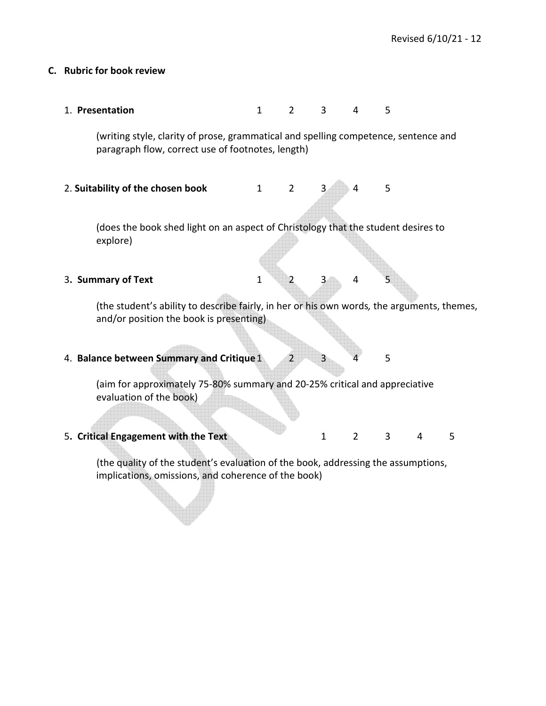#### **C. Rubric for book review**

1. **Presentation** 1 2 3 4 5

(writing style, clarity of prose, grammatical and spelling competence, sentence and paragraph flow, correct use of footnotes, length)

2. Suitability of the chosen book 1 2 3 4 5

(does the book shed light on an aspect of Christology that the student desires to explore)

#### **3. Summary of Text** 1 2 3 4 5

(the student's ability to describe fairly, in her or his own words*,* the arguments, themes, and/or position the book is presenting)

4. **Balance between Summary and Critique 1** 2 3 4 5

(aim for approximately 75-80% summary and 20-25% critical and appreciative evaluation of the book)

5. Critical Engagement with the Text 1 2 3 4 5

(the quality of the student's evaluation of the book, addressing the assumptions, implications, omissions, and coherence of the book)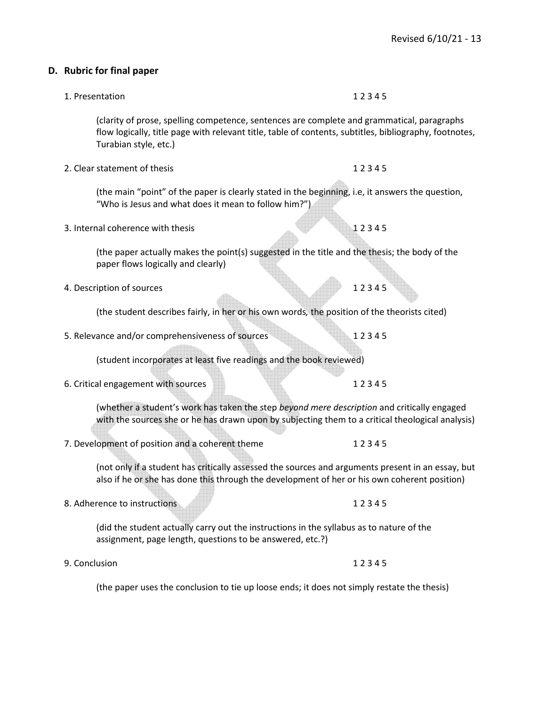|               | (clarity of prose, spelling competence, sentences are complete and grammatical, paragraphs<br>flow logically, title page with relevant title, table of contents, subtitles, bibliography, footnotes,<br>Turabian style, etc.) |       |
|---------------|-------------------------------------------------------------------------------------------------------------------------------------------------------------------------------------------------------------------------------|-------|
|               | 2. Clear statement of thesis                                                                                                                                                                                                  | 12345 |
|               | (the main "point" of the paper is clearly stated in the beginning, i.e, it answers the question,<br>"Who is Jesus and what does it mean to follow him?")                                                                      |       |
|               | 3. Internal coherence with thesis                                                                                                                                                                                             | 12345 |
|               | (the paper actually makes the point(s) suggested in the title and the thesis; the body of the<br>paper flows logically and clearly)                                                                                           |       |
|               | 4. Description of sources                                                                                                                                                                                                     | 12345 |
|               | (the student describes fairly, in her or his own words, the position of the theorists cited)                                                                                                                                  |       |
|               | 5. Relevance and/or comprehensiveness of sources                                                                                                                                                                              | 12345 |
|               | (student incorporates at least five readings and the book reviewed)                                                                                                                                                           |       |
|               | 6. Critical engagement with sources                                                                                                                                                                                           | 12345 |
|               | (whether a student's work has taken the step beyond mere description and critically engaged<br>with the sources she or he has drawn upon by subjecting them to a critical theological analysis)                               |       |
|               | 7. Development of position and a coherent theme                                                                                                                                                                               | 12345 |
|               | (not only if a student has critically assessed the sources and arguments present in an essay, but<br>also if he or she has done this through the development of her or his own coherent position)                             |       |
|               | 8. Adherence to instructions                                                                                                                                                                                                  | 12345 |
|               | (did the student actually carry out the instructions in the syllabus as to nature of the<br>assignment, page length, questions to be answered, etc.?)                                                                         |       |
| 9. Conclusion |                                                                                                                                                                                                                               | 12345 |
|               | (the paper uses the conclusion to tie up loose ends; it does not simply restate the thesis)                                                                                                                                   |       |

# **D. Rubric for final paper**

- 1. Presentation 12 3 4 5
	-

- 
-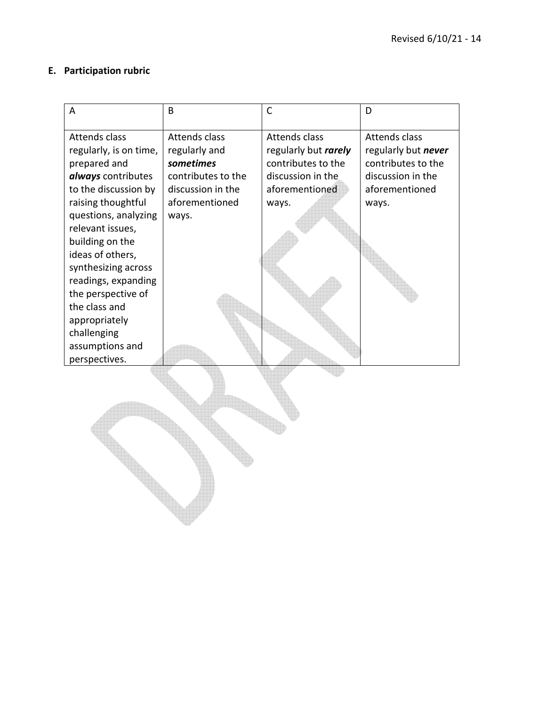## **E. Participation rubric**

| A                                          | B                  | $\mathsf{C}$         | D                   |
|--------------------------------------------|--------------------|----------------------|---------------------|
| <b>Attends class</b>                       | Attends class      | <b>Attends class</b> | Attends class       |
| regularly, is on time,                     | regularly and      | regularly but rarely | regularly but never |
| prepared and                               | sometimes          | contributes to the   | contributes to the  |
| always contributes                         | contributes to the | discussion in the    | discussion in the   |
| to the discussion by                       | discussion in the  | aforementioned       | aforementioned      |
| raising thoughtful<br>questions, analyzing | aforementioned     | ways.                | ways.               |
| relevant issues,                           | ways.              |                      |                     |
| building on the                            |                    |                      |                     |
| ideas of others,                           |                    |                      |                     |
| synthesizing across                        |                    |                      |                     |
| readings, expanding                        |                    |                      |                     |
| the perspective of                         |                    |                      |                     |
| the class and                              |                    |                      |                     |
| appropriately                              |                    |                      |                     |
| challenging                                |                    |                      |                     |
| assumptions and                            |                    |                      |                     |
| perspectives.                              |                    |                      |                     |
|                                            |                    |                      |                     |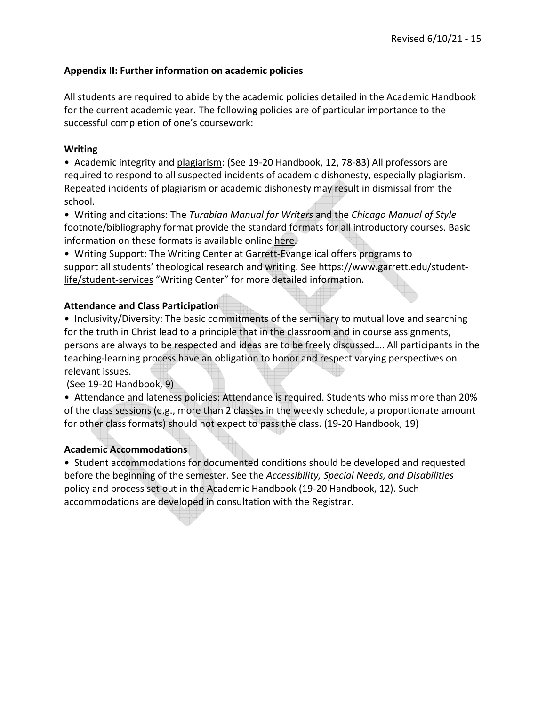## **Appendix II: Further information on academic policies**

All students are required to abide by the academic policies detailed in the Academic Handbook for the current academic year. The following policies are of particular importance to the successful completion of one's coursework:

#### **Writing**

• Academic integrity and plagiarism: (See 19-20 Handbook, 12, 78-83) All professors are required to respond to all suspected incidents of academic dishonesty, especially plagiarism. Repeated incidents of plagiarism or academic dishonesty may result in dismissal from the school.

• Writing and citations: The *Turabian Manual for Writers* and the *Chicago Manual of Style* footnote/bibliography format provide the standard formats for all introductory courses. Basic information on these formats is available online here.

• Writing Support: The Writing Center at Garrett-Evangelical offers programs to support all students' theological research and writing. See https://www.garrett.edu/studentlife/student-services "Writing Center" for more detailed information.

#### **Attendance and Class Participation**

• Inclusivity/Diversity: The basic commitments of the seminary to mutual love and searching for the truth in Christ lead to a principle that in the classroom and in course assignments, persons are always to be respected and ideas are to be freely discussed…. All participants in the teaching-learning process have an obligation to honor and respect varying perspectives on relevant issues.

(See 19-20 Handbook, 9)

• Attendance and lateness policies: Attendance is required. Students who miss more than 20% of the class sessions (e.g., more than 2 classes in the weekly schedule, a proportionate amount for other class formats) should not expect to pass the class. (19-20 Handbook, 19)

#### **Academic Accommodations**

• Student accommodations for documented conditions should be developed and requested before the beginning of the semester. See the *Accessibility, Special Needs, and Disabilities* policy and process set out in the Academic Handbook (19-20 Handbook, 12). Such accommodations are developed in consultation with the Registrar.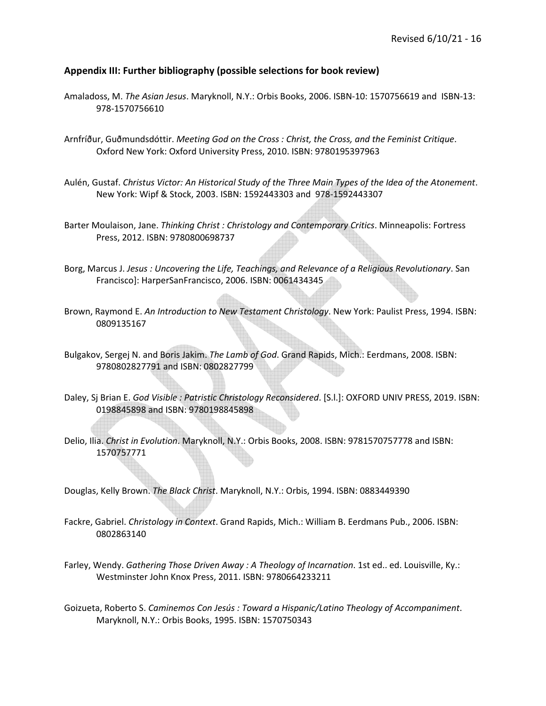#### **Appendix III: Further bibliography (possible selections for book review)**

Amaladoss, M. *The Asian Jesus*. Maryknoll, N.Y.: Orbis Books, 2006. ISBN-10: 1570756619 and ISBN-13: 978-1570756610

Arnfríður, Guðmundsdóttir. *Meeting God on the Cross : Christ, the Cross, and the Feminist Critique*. Oxford New York: Oxford University Press, 2010. ISBN: 9780195397963

- Aulén, Gustaf. *Christus Victor: An Historical Study of the Three Main Types of the Idea of the Atonement*. New York: Wipf & Stock, 2003. ISBN: 1592443303 and 978-1592443307
- Barter Moulaison, Jane. *Thinking Christ : Christology and Contemporary Critics*. Minneapolis: Fortress Press, 2012. ISBN: 9780800698737
- Borg, Marcus J. *Jesus : Uncovering the Life, Teachings, and Relevance of a Religious Revolutionary*. San Francisco]: HarperSanFrancisco, 2006. ISBN: 0061434345
- Brown, Raymond E. *An Introduction to New Testament Christology*. New York: Paulist Press, 1994. ISBN: 0809135167
- Bulgakov, Sergej N. and Boris Jakim. *The Lamb of God*. Grand Rapids, Mich.: Eerdmans, 2008. ISBN: 9780802827791 and ISBN: 0802827799
- Daley, Sj Brian E. *God Visible : Patristic Christology Reconsidered*. [S.l.]: OXFORD UNIV PRESS, 2019. ISBN: 0198845898 and ISBN: 9780198845898
- Delio, Ilia. *Christ in Evolution*. Maryknoll, N.Y.: Orbis Books, 2008. ISBN: 9781570757778 and ISBN: 1570757771

Douglas, Kelly Brown. *The Black Christ*. Maryknoll, N.Y.: Orbis, 1994. ISBN: 0883449390

- Fackre, Gabriel. *Christology in Context*. Grand Rapids, Mich.: William B. Eerdmans Pub., 2006. ISBN: 0802863140
- Farley, Wendy. *Gathering Those Driven Away : A Theology of Incarnation*. 1st ed.. ed. Louisville, Ky.: Westminster John Knox Press, 2011. ISBN: 9780664233211
- Goizueta, Roberto S. *Caminemos Con Jesús : Toward a Hispanic/Latino Theology of Accompaniment*. Maryknoll, N.Y.: Orbis Books, 1995. ISBN: 1570750343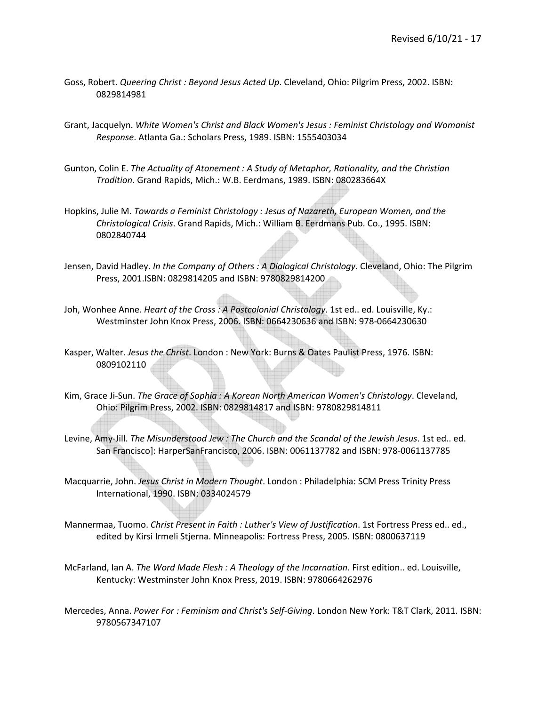- Goss, Robert. *Queering Christ : Beyond Jesus Acted Up*. Cleveland, Ohio: Pilgrim Press, 2002. ISBN: 0829814981
- Grant, Jacquelyn. *White Women's Christ and Black Women's Jesus : Feminist Christology and Womanist Response*. Atlanta Ga.: Scholars Press, 1989. ISBN: 1555403034
- Gunton, Colin E. *The Actuality of Atonement : A Study of Metaphor, Rationality, and the Christian Tradition*. Grand Rapids, Mich.: W.B. Eerdmans, 1989. ISBN: 080283664X
- Hopkins, Julie M. *Towards a Feminist Christology : Jesus of Nazareth, European Women, and the Christological Crisis*. Grand Rapids, Mich.: William B. Eerdmans Pub. Co., 1995. ISBN: 0802840744
- Jensen, David Hadley. *In the Company of Others : A Dialogical Christology*. Cleveland, Ohio: The Pilgrim Press, 2001.ISBN: 0829814205 and ISBN: 9780829814200
- Joh, Wonhee Anne. *Heart of the Cross : A Postcolonial Christology*. 1st ed.. ed. Louisville, Ky.: Westminster John Knox Press, 2006. ISBN: 0664230636 and ISBN: 978-0664230630
- Kasper, Walter. *Jesus the Christ*. London : New York: Burns & Oates Paulist Press, 1976. ISBN: 0809102110
- Kim, Grace Ji-Sun. *The Grace of Sophia : A Korean North American Women's Christology*. Cleveland, Ohio: Pilgrim Press, 2002. ISBN: 0829814817 and ISBN: 9780829814811
- Levine, Amy-Jill. *The Misunderstood Jew : The Church and the Scandal of the Jewish Jesus*. 1st ed.. ed. San Francisco]: HarperSanFrancisco, 2006. ISBN: 0061137782 and ISBN: 978-0061137785
- Macquarrie, John. *Jesus Christ in Modern Thought*. London : Philadelphia: SCM Press Trinity Press International, 1990. ISBN: 0334024579
- Mannermaa, Tuomo. *Christ Present in Faith : Luther's View of Justification*. 1st Fortress Press ed.. ed., edited by Kirsi Irmeli Stjerna. Minneapolis: Fortress Press, 2005. ISBN: 0800637119
- McFarland, Ian A. *The Word Made Flesh : A Theology of the Incarnation*. First edition.. ed. Louisville, Kentucky: Westminster John Knox Press, 2019. ISBN: 9780664262976
- Mercedes, Anna. *Power For : Feminism and Christ's Self-Giving*. London New York: T&T Clark, 2011. ISBN: 9780567347107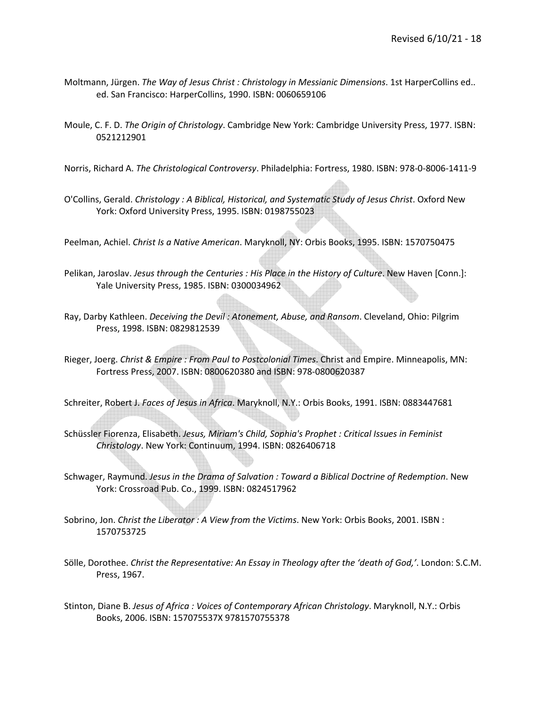- Moltmann, Jürgen. *The Way of Jesus Christ : Christology in Messianic Dimensions*. 1st HarperCollins ed.. ed. San Francisco: HarperCollins, 1990. ISBN: 0060659106
- Moule, C. F. D. *The Origin of Christology*. Cambridge New York: Cambridge University Press, 1977. ISBN: 0521212901

Norris, Richard A. *The Christological Controversy*. Philadelphia: Fortress, 1980. ISBN: 978-0-8006-1411-9

O'Collins, Gerald. *Christology : A Biblical, Historical, and Systematic Study of Jesus Christ*. Oxford New York: Oxford University Press, 1995. ISBN: 0198755023

Peelman, Achiel. *Christ Is a Native American*. Maryknoll, NY: Orbis Books, 1995. ISBN: 1570750475

- Pelikan, Jaroslav. *Jesus through the Centuries : His Place in the History of Culture*. New Haven [Conn.]: Yale University Press, 1985. ISBN: 0300034962
- Ray, Darby Kathleen. *Deceiving the Devil : Atonement, Abuse, and Ransom*. Cleveland, Ohio: Pilgrim Press, 1998. ISBN: 0829812539
- Rieger, Joerg. *Christ & Empire : From Paul to Postcolonial Times*. Christ and Empire. Minneapolis, MN: Fortress Press, 2007. ISBN: 0800620380 and ISBN: 978-0800620387

Schreiter, Robert J. *Faces of Jesus in Africa*. Maryknoll, N.Y.: Orbis Books, 1991. ISBN: 0883447681

- Schüssler Fiorenza, Elisabeth. *Jesus, Miriam's Child, Sophia's Prophet : Critical Issues in Feminist Christology*. New York: Continuum, 1994. ISBN: 0826406718
- Schwager, Raymund. *Jesus in the Drama of Salvation : Toward a Biblical Doctrine of Redemption*. New York: Crossroad Pub. Co., 1999. ISBN: 0824517962
- Sobrino, Jon. *Christ the Liberator : A View from the Victims*. New York: Orbis Books, 2001. ISBN : 1570753725
- Sölle, Dorothee. *Christ the Representative: An Essay in Theology after the ʻdeath of God,'*. London: S.C.M. Press, 1967.
- Stinton, Diane B. *Jesus of Africa : Voices of Contemporary African Christology*. Maryknoll, N.Y.: Orbis Books, 2006. ISBN: 157075537X 9781570755378